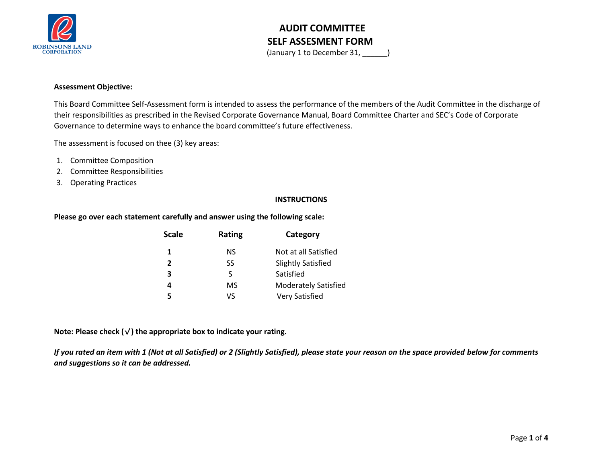

(January 1 to December 31, \_\_\_\_\_\_)

#### **Assessment Objective:**

This Board Committee Self-Assessment form is intended to assess the performance of the members of the Audit Committee in the discharge of their responsibilities as prescribed in the Revised Corporate Governance Manual, Board Committee Charter and SEC's Code of Corporate Governance to determine ways to enhance the board committee's future effectiveness.

The assessment is focused on thee (3) key areas:

- 1. Committee Composition
- 2. Committee Responsibilities
- 3. Operating Practices

#### **INSTRUCTIONS**

#### **Please go over each statement carefully and answer using the following scale:**

| <b>Scale</b>   | Rating | Category                    |  |  |  |  |
|----------------|--------|-----------------------------|--|--|--|--|
| 1              | NS.    | Not at all Satisfied        |  |  |  |  |
| $\overline{2}$ | SS     | <b>Slightly Satisfied</b>   |  |  |  |  |
| 3              | S.     | Satisfied                   |  |  |  |  |
| 4              | MS     | <b>Moderately Satisfied</b> |  |  |  |  |
| 5              | ٧S     | <b>Very Satisfied</b>       |  |  |  |  |

**Note: Please check (**√**) the appropriate box to indicate your rating.**

*If you rated an item with 1 (Not at all Satisfied) or 2 (Slightly Satisfied), please state your reason on the space provided below for comments and suggestions so it can be addressed.*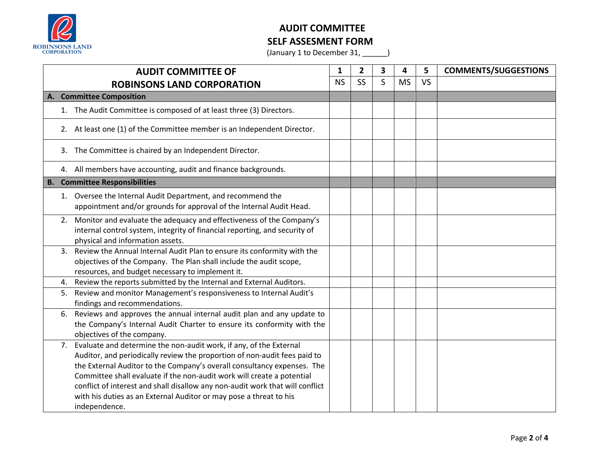

(January 1 to December 31, \_\_\_\_\_\_)

| <b>AUDIT COMMITTEE OF</b>               |                                                                                                                                                                                                                                                                                                                                                                                                                                                                              | 1         | $\overline{2}$ | 3 | 4         | 5         | <b>COMMENTS/SUGGESTIONS</b> |
|-----------------------------------------|------------------------------------------------------------------------------------------------------------------------------------------------------------------------------------------------------------------------------------------------------------------------------------------------------------------------------------------------------------------------------------------------------------------------------------------------------------------------------|-----------|----------------|---|-----------|-----------|-----------------------------|
| <b>ROBINSONS LAND CORPORATION</b>       |                                                                                                                                                                                                                                                                                                                                                                                                                                                                              | <b>NS</b> | <b>SS</b>      | S | <b>MS</b> | <b>VS</b> |                             |
| <b>Committee Composition</b><br>А.      |                                                                                                                                                                                                                                                                                                                                                                                                                                                                              |           |                |   |           |           |                             |
|                                         | 1. The Audit Committee is composed of at least three (3) Directors.                                                                                                                                                                                                                                                                                                                                                                                                          |           |                |   |           |           |                             |
|                                         | 2. At least one (1) of the Committee member is an Independent Director.                                                                                                                                                                                                                                                                                                                                                                                                      |           |                |   |           |           |                             |
|                                         | 3. The Committee is chaired by an Independent Director.                                                                                                                                                                                                                                                                                                                                                                                                                      |           |                |   |           |           |                             |
|                                         | 4. All members have accounting, audit and finance backgrounds.                                                                                                                                                                                                                                                                                                                                                                                                               |           |                |   |           |           |                             |
| <b>Committee Responsibilities</b><br>В. |                                                                                                                                                                                                                                                                                                                                                                                                                                                                              |           |                |   |           |           |                             |
|                                         | 1. Oversee the Internal Audit Department, and recommend the<br>appointment and/or grounds for approval of the Internal Audit Head.                                                                                                                                                                                                                                                                                                                                           |           |                |   |           |           |                             |
| 2.                                      | Monitor and evaluate the adequacy and effectiveness of the Company's<br>internal control system, integrity of financial reporting, and security of<br>physical and information assets.                                                                                                                                                                                                                                                                                       |           |                |   |           |           |                             |
| 3.                                      | Review the Annual Internal Audit Plan to ensure its conformity with the<br>objectives of the Company. The Plan shall include the audit scope,<br>resources, and budget necessary to implement it.                                                                                                                                                                                                                                                                            |           |                |   |           |           |                             |
| 4.                                      | Review the reports submitted by the Internal and External Auditors.                                                                                                                                                                                                                                                                                                                                                                                                          |           |                |   |           |           |                             |
| 5.                                      | Review and monitor Management's responsiveness to Internal Audit's<br>findings and recommendations.                                                                                                                                                                                                                                                                                                                                                                          |           |                |   |           |           |                             |
| 6.                                      | Reviews and approves the annual internal audit plan and any update to<br>the Company's Internal Audit Charter to ensure its conformity with the<br>objectives of the company.                                                                                                                                                                                                                                                                                                |           |                |   |           |           |                             |
| 7.                                      | Evaluate and determine the non-audit work, if any, of the External<br>Auditor, and periodically review the proportion of non-audit fees paid to<br>the External Auditor to the Company's overall consultancy expenses. The<br>Committee shall evaluate if the non-audit work will create a potential<br>conflict of interest and shall disallow any non-audit work that will conflict<br>with his duties as an External Auditor or may pose a threat to his<br>independence. |           |                |   |           |           |                             |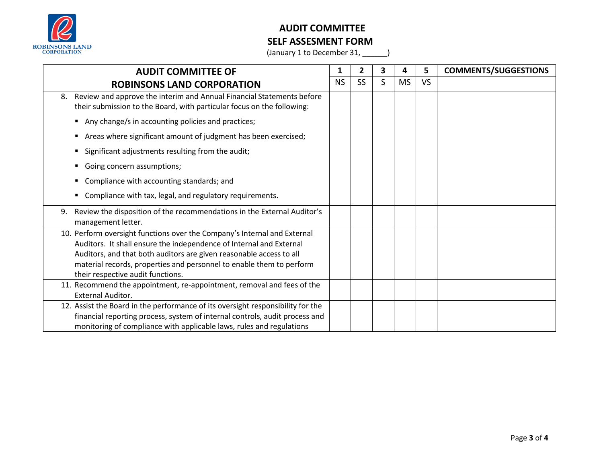

(January 1 to December 31, \_\_\_\_\_\_)

| <b>AUDIT COMMITTEE OF</b>                                                                                                                                                                                                                                                                                                           |  | $\overline{2}$ | 3 | 4         | 5         | <b>COMMENTS/SUGGESTIONS</b> |
|-------------------------------------------------------------------------------------------------------------------------------------------------------------------------------------------------------------------------------------------------------------------------------------------------------------------------------------|--|----------------|---|-----------|-----------|-----------------------------|
| <b>ROBINSONS LAND CORPORATION</b>                                                                                                                                                                                                                                                                                                   |  | <b>SS</b>      | S | <b>MS</b> | <b>VS</b> |                             |
| Review and approve the interim and Annual Financial Statements before<br>8.<br>their submission to the Board, with particular focus on the following:                                                                                                                                                                               |  |                |   |           |           |                             |
| Any change/s in accounting policies and practices;                                                                                                                                                                                                                                                                                  |  |                |   |           |           |                             |
| Areas where significant amount of judgment has been exercised;                                                                                                                                                                                                                                                                      |  |                |   |           |           |                             |
| Significant adjustments resulting from the audit;                                                                                                                                                                                                                                                                                   |  |                |   |           |           |                             |
| Going concern assumptions;                                                                                                                                                                                                                                                                                                          |  |                |   |           |           |                             |
| Compliance with accounting standards; and                                                                                                                                                                                                                                                                                           |  |                |   |           |           |                             |
| Compliance with tax, legal, and regulatory requirements.                                                                                                                                                                                                                                                                            |  |                |   |           |           |                             |
| Review the disposition of the recommendations in the External Auditor's<br>9.<br>management letter.                                                                                                                                                                                                                                 |  |                |   |           |           |                             |
| 10. Perform oversight functions over the Company's Internal and External<br>Auditors. It shall ensure the independence of Internal and External<br>Auditors, and that both auditors are given reasonable access to all<br>material records, properties and personnel to enable them to perform<br>their respective audit functions. |  |                |   |           |           |                             |
| 11. Recommend the appointment, re-appointment, removal and fees of the<br><b>External Auditor.</b>                                                                                                                                                                                                                                  |  |                |   |           |           |                             |
| 12. Assist the Board in the performance of its oversight responsibility for the<br>financial reporting process, system of internal controls, audit process and<br>monitoring of compliance with applicable laws, rules and regulations                                                                                              |  |                |   |           |           |                             |